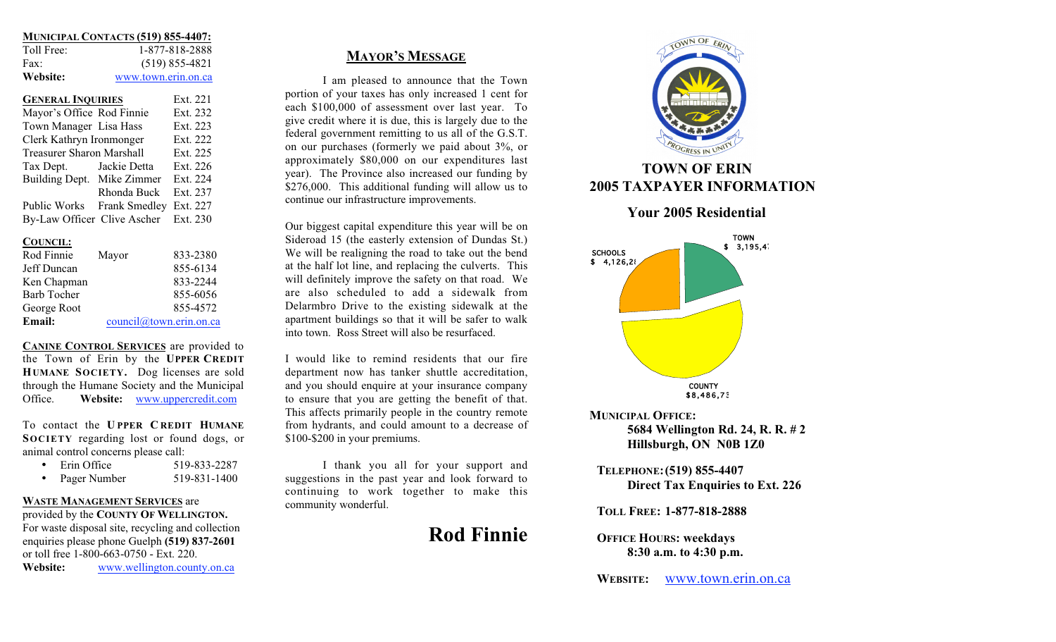|            | <b>MUNICIPAL CONTACTS (519) 855-4407:</b> |
|------------|-------------------------------------------|
| Toll Free: | 1-877-818-2888                            |
| Fax:       | $(519) 855 - 4821$                        |
| Website:   | www.town.erin.on.ca                       |

| <b>GENERAL INQUIRIES</b>    | Ext. 221                         |          |  |
|-----------------------------|----------------------------------|----------|--|
| Mayor's Office Rod Finnie   |                                  | Ext. 232 |  |
| Town Manager Lisa Hass      |                                  | Ext. 223 |  |
| Clerk Kathryn Ironmonger    |                                  | Ext. 222 |  |
|                             | <b>Treasurer Sharon Marshall</b> |          |  |
| Tax Dept.                   | Jackie Detta                     | Ext. 226 |  |
| Building Dept. Mike Zimmer  |                                  | Ext. 224 |  |
|                             | Rhonda Buck                      | Ext. 237 |  |
|                             | Public Works Frank Smedley       | Ext. 227 |  |
| By-Law Officer Clive Ascher |                                  | Ext. 230 |  |

### **COUNCIL:**

| Rod Finnie         | Mayor | 833-2380                |
|--------------------|-------|-------------------------|
| Jeff Duncan        |       | 855-6134                |
| Ken Chapman        |       | 833-2244                |
| <b>Barb Tocher</b> |       | 855-6056                |
| George Root        |       | 855-4572                |
| Email:             |       | council@town.erin.on.ca |

**CANINE CONTROL SERVICES** are provided to the Town of Erin by the **UPPER CREDIT HUMANE SOCIETY.** Dog licenses are sold through the Humane Society and the Municipal Office. **Website:** www.uppercredit.com

To contact the **U PPER C REDIT HUMANE SOCIETY** regarding lost or found dogs, or animal control concerns please call:

- •Erin Office 519-833-2287
- •Pager Number 519-831-1400

# **WASTE MANAGEMENT SERVICES** are

provided by the **COUNTY OF WELLINGTON.** For waste disposal site, recycling and collection enquiries please phone Guelph **(519) 837-2601** or toll free 1-800-663-0750 - Ext. 220. **Website:** www.wellington.county.on.ca

**MAYOR'S MESSAGE**

I am pleased to announce that the Town portion of your taxes has only increased 1 cent for each \$100,000 of assessment over last year. To give credit where it is due, this is largely due to the federal government remitting to us all of the G.S.T. on our purchases (formerly we paid about 3%, or approximately \$80,000 on our expenditures last year). The Province also increased our funding by \$276,000. This additional funding will allow us to continue our infrastructure improvements.

Our biggest capital expenditure this year will be on Sideroad 15 (the easterly extension of Dundas St.) We will be realigning the road to take out the bend at the half lot line, and replacing the culverts. This will definitely improve the safety on that road. We are also scheduled to add a sidewalk from Delarmbro Drive to the existing sidewalk at the apartment buildings so that it will be safer to walk into town. Ross Street will also be resurfaced.

I would like to remind residents that our fire department now has tanker shuttle accreditation, and you should enquire at your insurance company to ensure that you are getting the benefit of that. This affects primarily people in the country remote from hydrants, and could amount to a decrease of \$100-\$200 in your premiums.

I thank you all for your support and suggestions in the past year and look forward to continuing to work together to make this community wonderful.

**Rod Finnie**



# **TOWN OF ERIN 2005 TAXPAYER INFORMATION**



**Your 2005 Residential**

**MUNICIPAL OFFICE: 5684 Wellington Rd. 24, R. R. # 2 Hillsburgh, ON N0B 1Z0**

**TELEPHONE:(519) 855-4407 Direct Tax Enquiries to Ext. 226**

**TOLL FREE: 1-877-818-2888**

**OFFICE HOURS: weekdays 8:30 a.m. to 4:30 p.m.**

**WEBSITE:** www.town.erin.on.ca